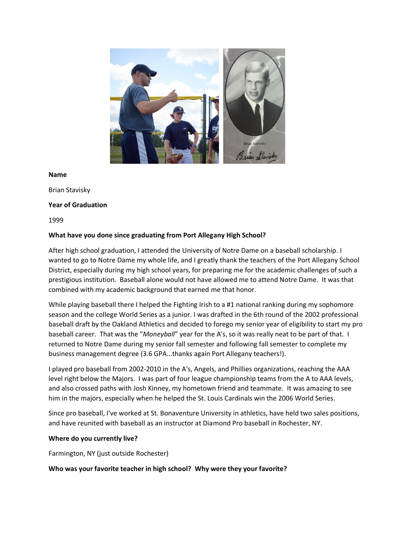

#### **Name**

Brian Stavisky

#### **Year of Graduation**

1999

# **What have you done since graduating from Port Allegany High School?**

After high school graduation, I attended the University of Notre Dame on a baseball scholarship. I wanted to go to Notre Dame my whole life, and I greatly thank the teachers of the Port Allegany School District, especially during my high school years, for preparing me for the academic challenges of such a prestigious institution. Baseball alone would not have allowed me to attend Notre Dame. It was that combined with my academic background that earned me that honor.

While playing baseball there I helped the Fighting Irish to a #1 national ranking during my sophomore season and the college World Series as a junior. I was drafted in the 6th round of the 2002 professional baseball draft by the Oakland Athletics and decided to forego my senior year of eligibility to start my pro baseball career. That was the "*Moneyball*" year for the A's, so it was really neat to be part of that. I returned to Notre Dame during my senior fall semester and following fall semester to complete my business management degree (3.6 GPA...thanks again Port Allegany teachers!).

I played pro baseball from 2002-2010 in the A's, Angels, and Phillies organizations, reaching the AAA level right below the Majors. I was part of four league championship teams from the A to AAA levels, and also crossed paths with Josh Kinney, my hometown friend and teammate. It was amazing to see him in the majors, especially when he helped the St. Louis Cardinals win the 2006 World Series.

Since pro baseball, I've worked at St. Bonaventure University in athletics, have held two sales positions, and have reunited with baseball as an instructor at Diamond Pro baseball in Rochester, NY.

## **Where do you currently live?**

Farmington, NY (just outside Rochester)

## **Who was your favorite teacher in high school? Why were they your favorite?**